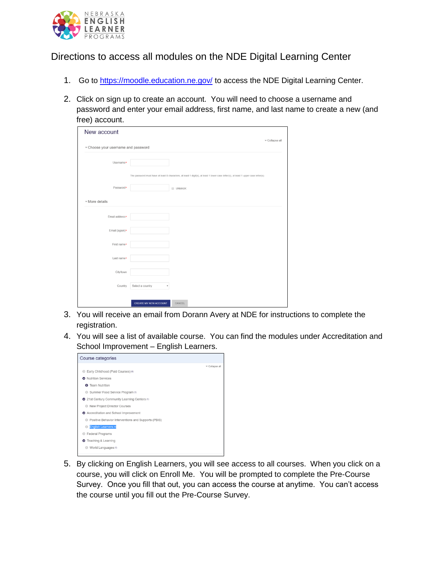

## Directions to access all modules on the NDE Digital Learning Center

- 1. Go to<https://moodle.education.ne.gov/> to access the NDE Digital Learning Center.
- 2. Click on sign up to create an account. You will need to choose a username and password and enter your email address, first name, and last name to create a new (and free) account.

| New account                         |                              |                                                                                                                                     | v Collapse all |
|-------------------------------------|------------------------------|-------------------------------------------------------------------------------------------------------------------------------------|----------------|
| * Choose your username and password |                              |                                                                                                                                     |                |
| Username*                           |                              |                                                                                                                                     |                |
|                                     |                              | The password must have at least 8 characters, at least 1 digit(s), at least 1 lower case letter(s), at least 1 upper case letter(s) |                |
| Password*                           |                              | <b>UNMASK</b>                                                                                                                       |                |
| ▼ More details                      |                              |                                                                                                                                     |                |
| Email address*                      |                              |                                                                                                                                     |                |
| Email (again)*                      |                              |                                                                                                                                     |                |
| First name*                         |                              |                                                                                                                                     |                |
| Last name*                          |                              |                                                                                                                                     |                |
| City/town                           |                              |                                                                                                                                     |                |
| Country                             | Select a country             |                                                                                                                                     |                |
|                                     |                              |                                                                                                                                     |                |
|                                     | <b>CREATE MY NEW ACCOUNT</b> | CANCEL                                                                                                                              |                |

- 3. You will receive an email from Dorann Avery at NDE for instructions to complete the registration.
- 4. You will see a list of available course. You can find the modules under Accreditation and School Improvement – English Learners.



5. By clicking on English Learners, you will see access to all courses. When you click on a course, you will click on Enroll Me. You will be prompted to complete the Pre-Course Survey. Once you fill that out, you can access the course at anytime. You can't access the course until you fill out the Pre-Course Survey.